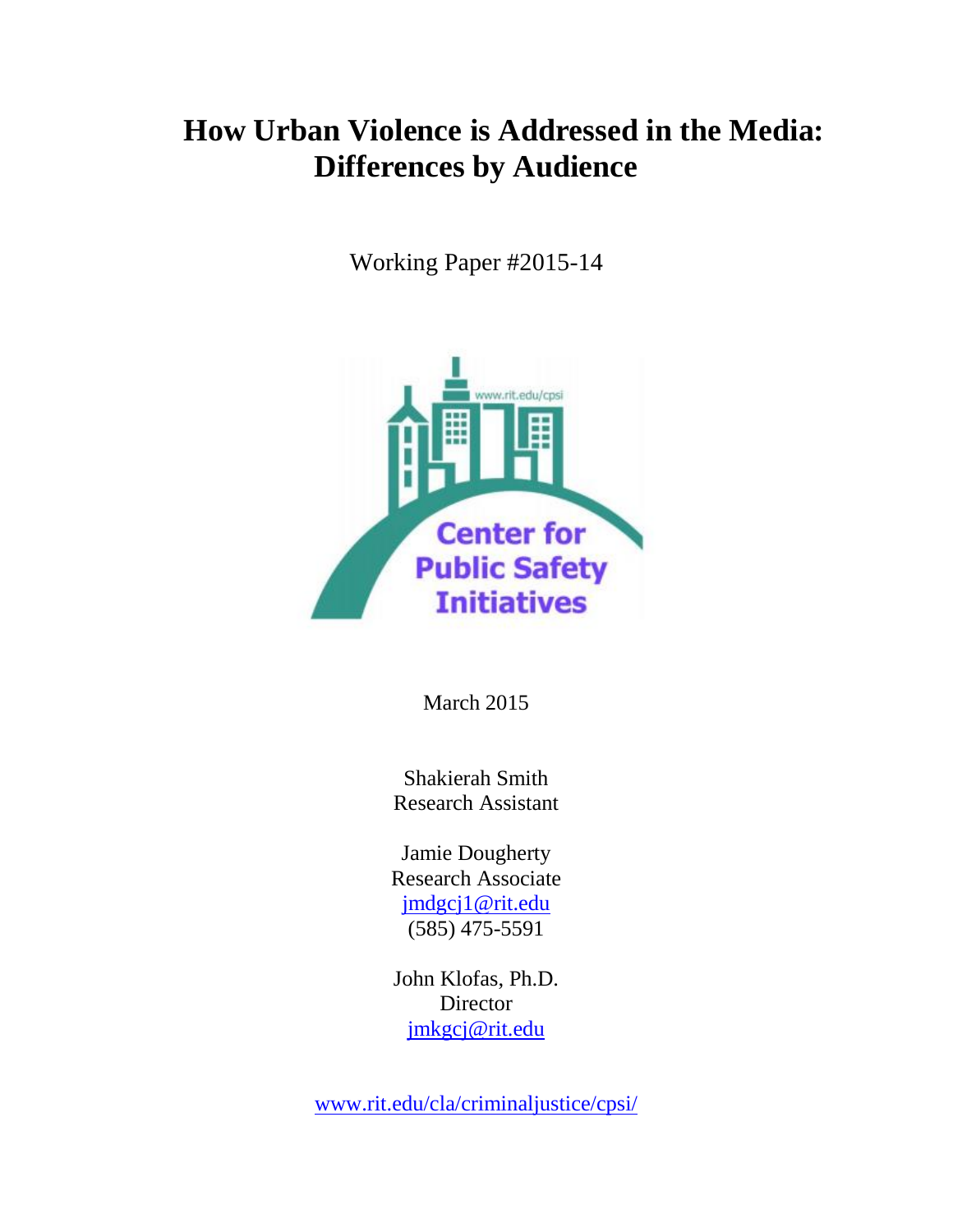## **How Urban Violence is Addressed in the Media: Differences by Audience**

Working Paper #2015-14



March 2015

Shakierah Smith Research Assistant

Jamie Dougherty Research Associate [jmdgcj1@rit.edu](mailto:jmdgcj1@rit.edu) (585) 475-5591

John Klofas, Ph.D. Director [jmkgcj@rit.edu](mailto:jmkgcj@rit.edu)

[www.rit.edu/cla/criminaljustice/cpsi/](http://www.rit.edu/cla/criminaljustice/cpsi/)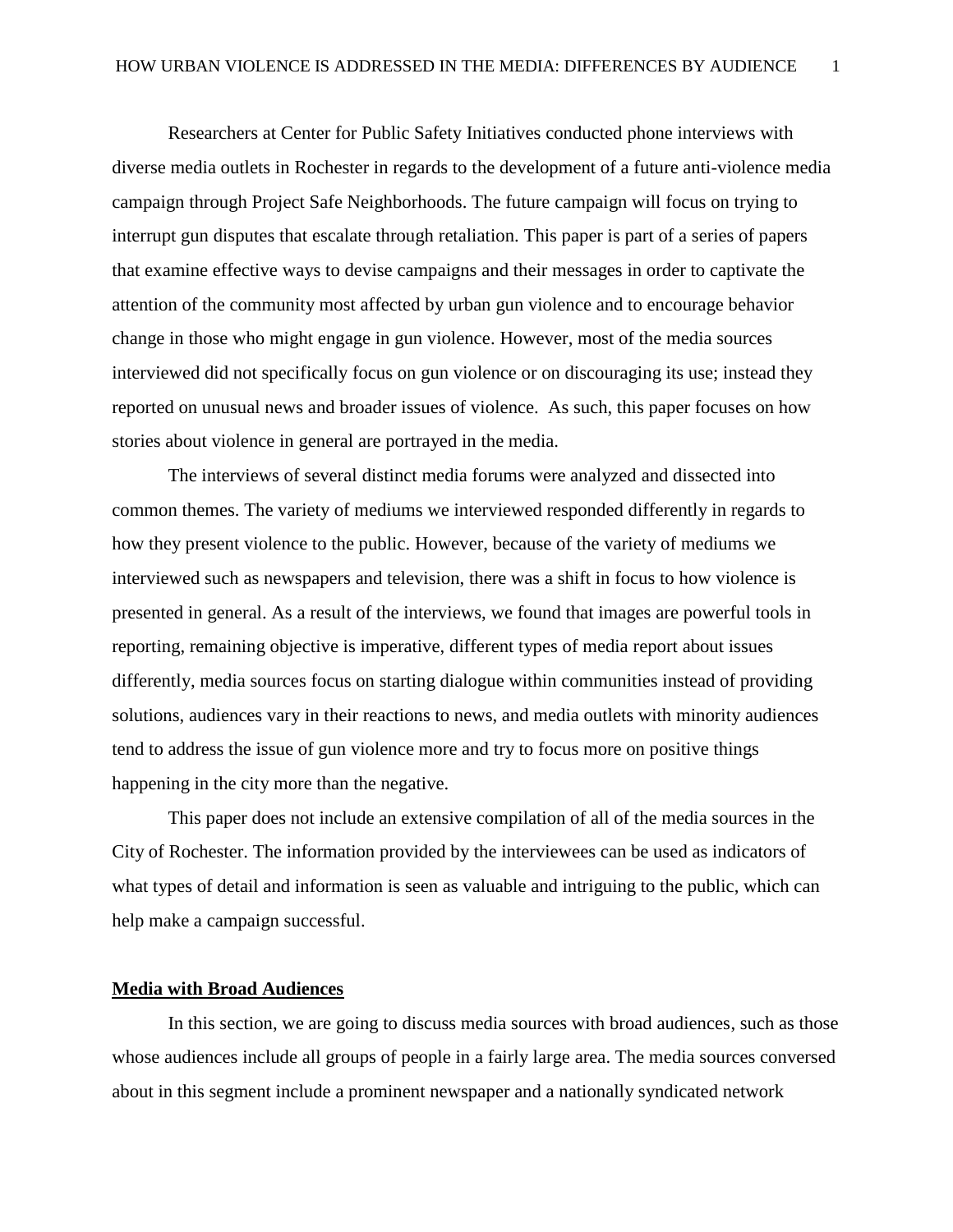Researchers at Center for Public Safety Initiatives conducted phone interviews with diverse media outlets in Rochester in regards to the development of a future anti-violence media campaign through Project Safe Neighborhoods. The future campaign will focus on trying to interrupt gun disputes that escalate through retaliation. This paper is part of a series of papers that examine effective ways to devise campaigns and their messages in order to captivate the attention of the community most affected by urban gun violence and to encourage behavior change in those who might engage in gun violence. However, most of the media sources interviewed did not specifically focus on gun violence or on discouraging its use; instead they reported on unusual news and broader issues of violence. As such, this paper focuses on how stories about violence in general are portrayed in the media.

The interviews of several distinct media forums were analyzed and dissected into common themes. The variety of mediums we interviewed responded differently in regards to how they present violence to the public. However, because of the variety of mediums we interviewed such as newspapers and television, there was a shift in focus to how violence is presented in general. As a result of the interviews, we found that images are powerful tools in reporting, remaining objective is imperative, different types of media report about issues differently, media sources focus on starting dialogue within communities instead of providing solutions, audiences vary in their reactions to news, and media outlets with minority audiences tend to address the issue of gun violence more and try to focus more on positive things happening in the city more than the negative.

This paper does not include an extensive compilation of all of the media sources in the City of Rochester. The information provided by the interviewees can be used as indicators of what types of detail and information is seen as valuable and intriguing to the public, which can help make a campaign successful.

## **Media with Broad Audiences**

In this section, we are going to discuss media sources with broad audiences, such as those whose audiences include all groups of people in a fairly large area. The media sources conversed about in this segment include a prominent newspaper and a nationally syndicated network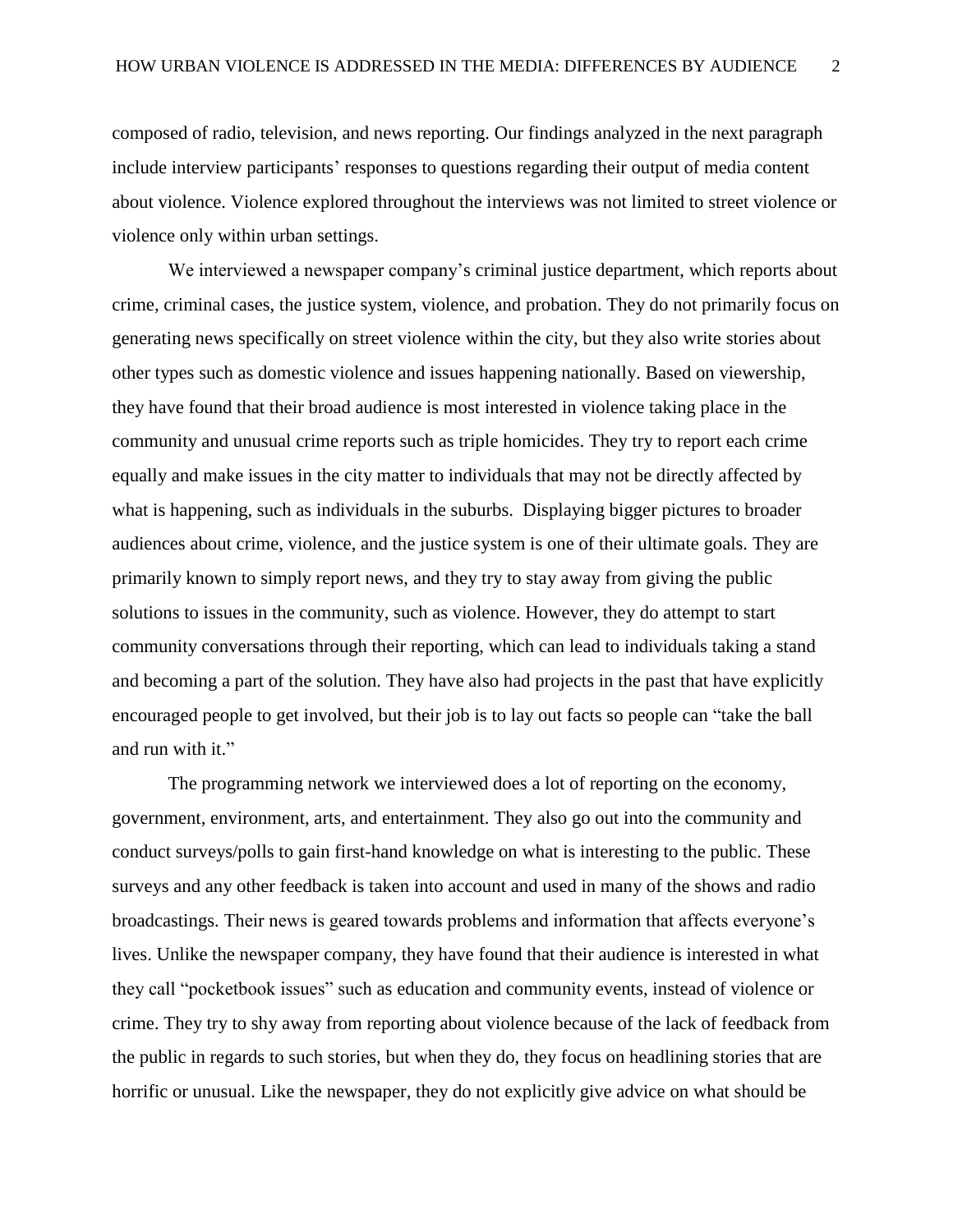composed of radio, television, and news reporting. Our findings analyzed in the next paragraph include interview participants' responses to questions regarding their output of media content about violence. Violence explored throughout the interviews was not limited to street violence or violence only within urban settings.

We interviewed a newspaper company's criminal justice department, which reports about crime, criminal cases, the justice system, violence, and probation. They do not primarily focus on generating news specifically on street violence within the city, but they also write stories about other types such as domestic violence and issues happening nationally. Based on viewership, they have found that their broad audience is most interested in violence taking place in the community and unusual crime reports such as triple homicides. They try to report each crime equally and make issues in the city matter to individuals that may not be directly affected by what is happening, such as individuals in the suburbs. Displaying bigger pictures to broader audiences about crime, violence, and the justice system is one of their ultimate goals. They are primarily known to simply report news, and they try to stay away from giving the public solutions to issues in the community, such as violence. However, they do attempt to start community conversations through their reporting, which can lead to individuals taking a stand and becoming a part of the solution. They have also had projects in the past that have explicitly encouraged people to get involved, but their job is to lay out facts so people can "take the ball and run with it."

The programming network we interviewed does a lot of reporting on the economy, government, environment, arts, and entertainment. They also go out into the community and conduct surveys/polls to gain first-hand knowledge on what is interesting to the public. These surveys and any other feedback is taken into account and used in many of the shows and radio broadcastings. Their news is geared towards problems and information that affects everyone's lives. Unlike the newspaper company, they have found that their audience is interested in what they call "pocketbook issues" such as education and community events, instead of violence or crime. They try to shy away from reporting about violence because of the lack of feedback from the public in regards to such stories, but when they do, they focus on headlining stories that are horrific or unusual. Like the newspaper, they do not explicitly give advice on what should be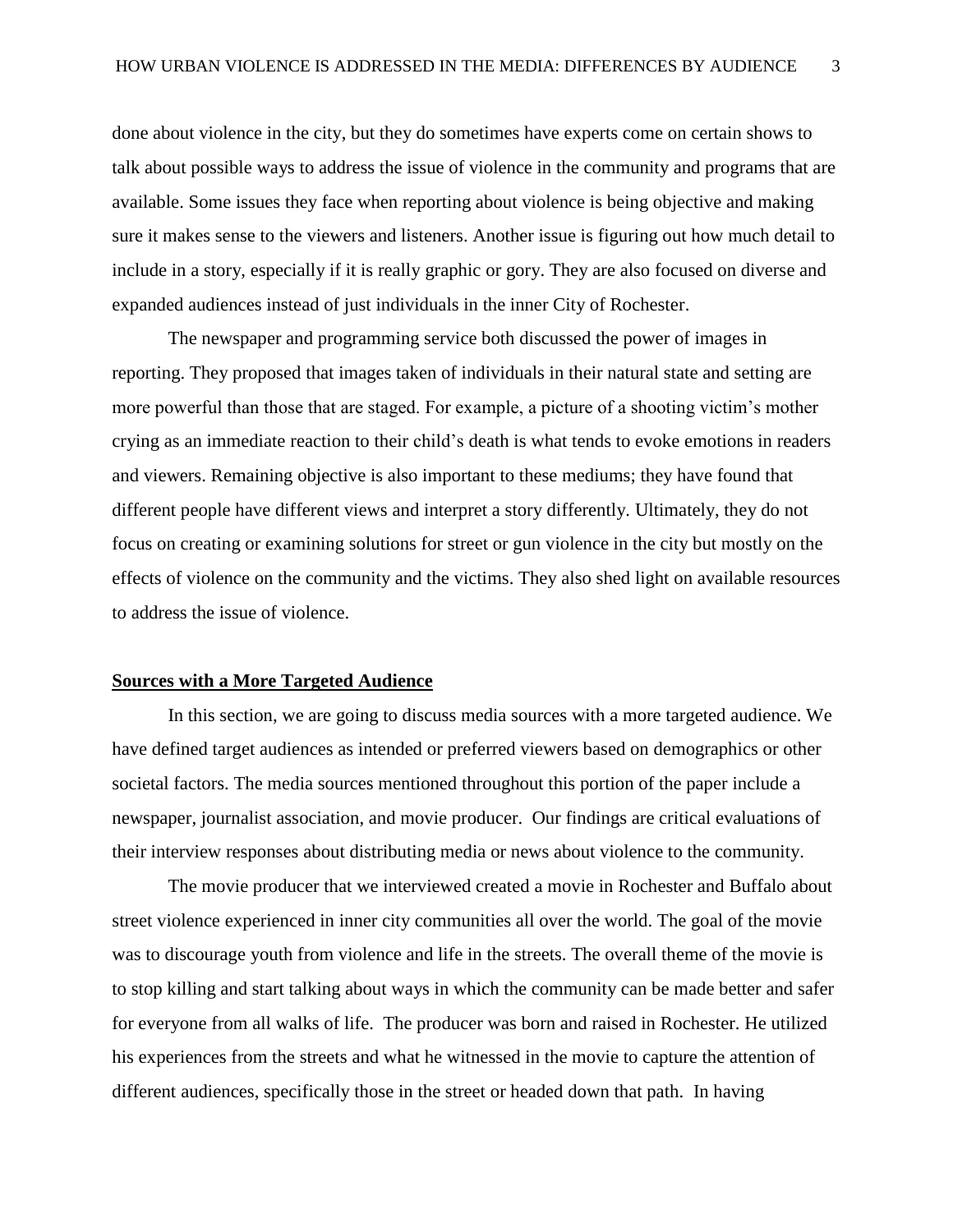done about violence in the city, but they do sometimes have experts come on certain shows to talk about possible ways to address the issue of violence in the community and programs that are available. Some issues they face when reporting about violence is being objective and making sure it makes sense to the viewers and listeners. Another issue is figuring out how much detail to include in a story, especially if it is really graphic or gory. They are also focused on diverse and expanded audiences instead of just individuals in the inner City of Rochester.

The newspaper and programming service both discussed the power of images in reporting. They proposed that images taken of individuals in their natural state and setting are more powerful than those that are staged. For example, a picture of a shooting victim's mother crying as an immediate reaction to their child's death is what tends to evoke emotions in readers and viewers. Remaining objective is also important to these mediums; they have found that different people have different views and interpret a story differently. Ultimately, they do not focus on creating or examining solutions for street or gun violence in the city but mostly on the effects of violence on the community and the victims. They also shed light on available resources to address the issue of violence.

## **Sources with a More Targeted Audience**

In this section, we are going to discuss media sources with a more targeted audience. We have defined target audiences as intended or preferred viewers based on demographics or other societal factors. The media sources mentioned throughout this portion of the paper include a newspaper, journalist association, and movie producer. Our findings are critical evaluations of their interview responses about distributing media or news about violence to the community.

The movie producer that we interviewed created a movie in Rochester and Buffalo about street violence experienced in inner city communities all over the world. The goal of the movie was to discourage youth from violence and life in the streets. The overall theme of the movie is to stop killing and start talking about ways in which the community can be made better and safer for everyone from all walks of life. The producer was born and raised in Rochester. He utilized his experiences from the streets and what he witnessed in the movie to capture the attention of different audiences, specifically those in the street or headed down that path. In having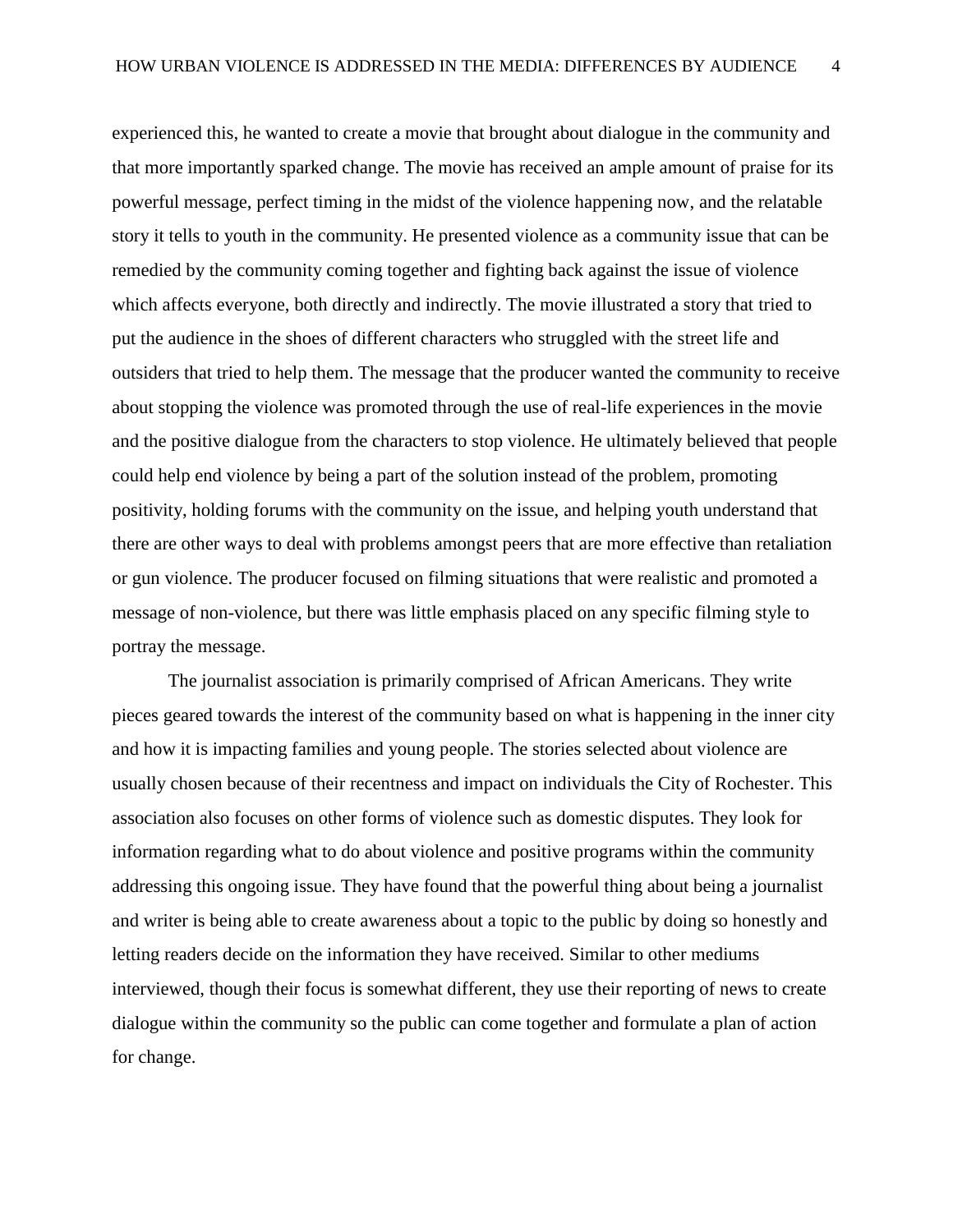experienced this, he wanted to create a movie that brought about dialogue in the community and that more importantly sparked change. The movie has received an ample amount of praise for its powerful message, perfect timing in the midst of the violence happening now, and the relatable story it tells to youth in the community. He presented violence as a community issue that can be remedied by the community coming together and fighting back against the issue of violence which affects everyone, both directly and indirectly. The movie illustrated a story that tried to put the audience in the shoes of different characters who struggled with the street life and outsiders that tried to help them. The message that the producer wanted the community to receive about stopping the violence was promoted through the use of real-life experiences in the movie and the positive dialogue from the characters to stop violence. He ultimately believed that people could help end violence by being a part of the solution instead of the problem, promoting positivity, holding forums with the community on the issue, and helping youth understand that there are other ways to deal with problems amongst peers that are more effective than retaliation or gun violence. The producer focused on filming situations that were realistic and promoted a message of non-violence, but there was little emphasis placed on any specific filming style to portray the message.

The journalist association is primarily comprised of African Americans. They write pieces geared towards the interest of the community based on what is happening in the inner city and how it is impacting families and young people. The stories selected about violence are usually chosen because of their recentness and impact on individuals the City of Rochester. This association also focuses on other forms of violence such as domestic disputes. They look for information regarding what to do about violence and positive programs within the community addressing this ongoing issue. They have found that the powerful thing about being a journalist and writer is being able to create awareness about a topic to the public by doing so honestly and letting readers decide on the information they have received. Similar to other mediums interviewed, though their focus is somewhat different, they use their reporting of news to create dialogue within the community so the public can come together and formulate a plan of action for change.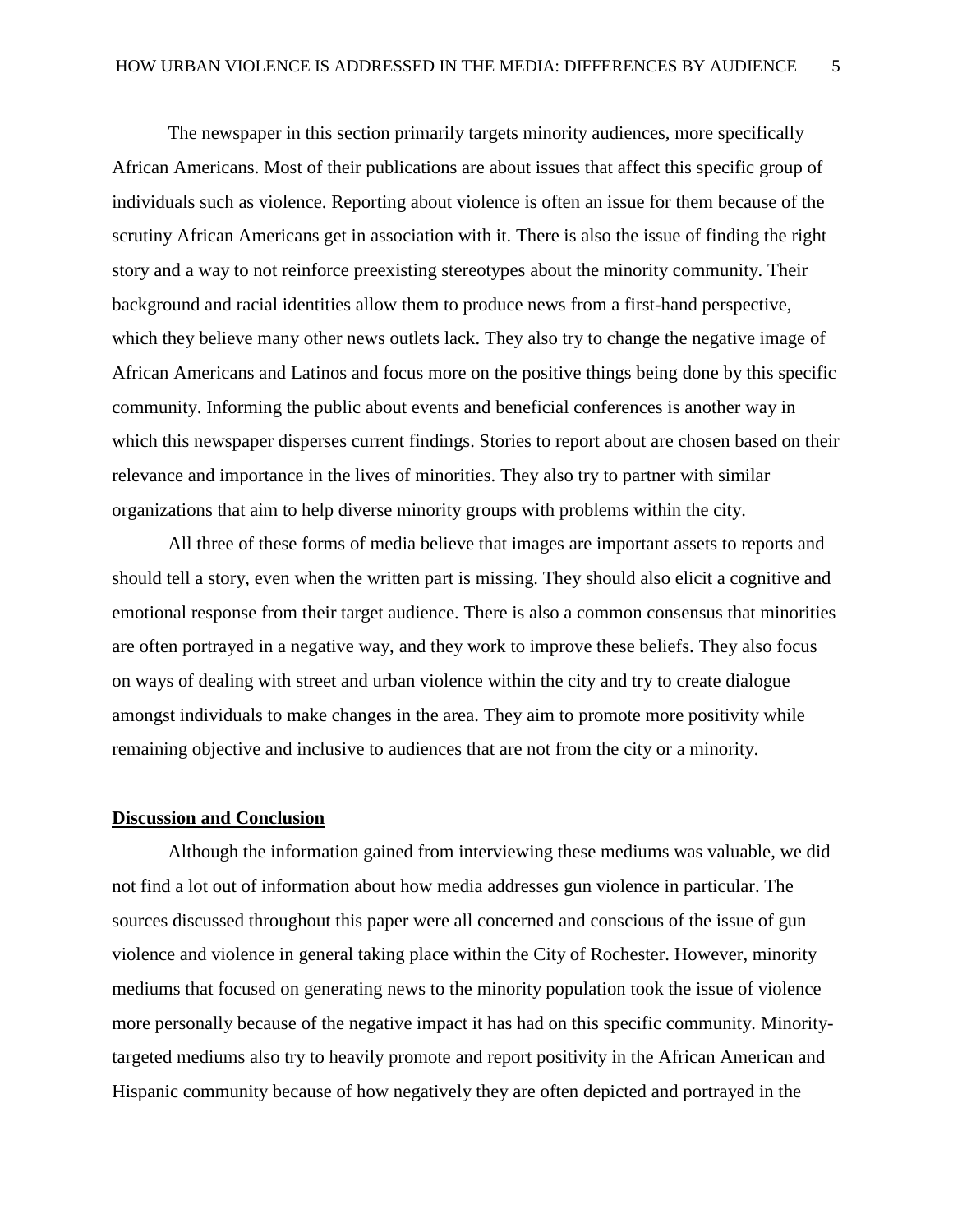The newspaper in this section primarily targets minority audiences, more specifically African Americans. Most of their publications are about issues that affect this specific group of individuals such as violence. Reporting about violence is often an issue for them because of the scrutiny African Americans get in association with it. There is also the issue of finding the right story and a way to not reinforce preexisting stereotypes about the minority community. Their background and racial identities allow them to produce news from a first-hand perspective, which they believe many other news outlets lack. They also try to change the negative image of African Americans and Latinos and focus more on the positive things being done by this specific community. Informing the public about events and beneficial conferences is another way in which this newspaper disperses current findings. Stories to report about are chosen based on their relevance and importance in the lives of minorities. They also try to partner with similar organizations that aim to help diverse minority groups with problems within the city.

All three of these forms of media believe that images are important assets to reports and should tell a story, even when the written part is missing. They should also elicit a cognitive and emotional response from their target audience. There is also a common consensus that minorities are often portrayed in a negative way, and they work to improve these beliefs. They also focus on ways of dealing with street and urban violence within the city and try to create dialogue amongst individuals to make changes in the area. They aim to promote more positivity while remaining objective and inclusive to audiences that are not from the city or a minority.

## **Discussion and Conclusion**

Although the information gained from interviewing these mediums was valuable, we did not find a lot out of information about how media addresses gun violence in particular. The sources discussed throughout this paper were all concerned and conscious of the issue of gun violence and violence in general taking place within the City of Rochester. However, minority mediums that focused on generating news to the minority population took the issue of violence more personally because of the negative impact it has had on this specific community. Minoritytargeted mediums also try to heavily promote and report positivity in the African American and Hispanic community because of how negatively they are often depicted and portrayed in the